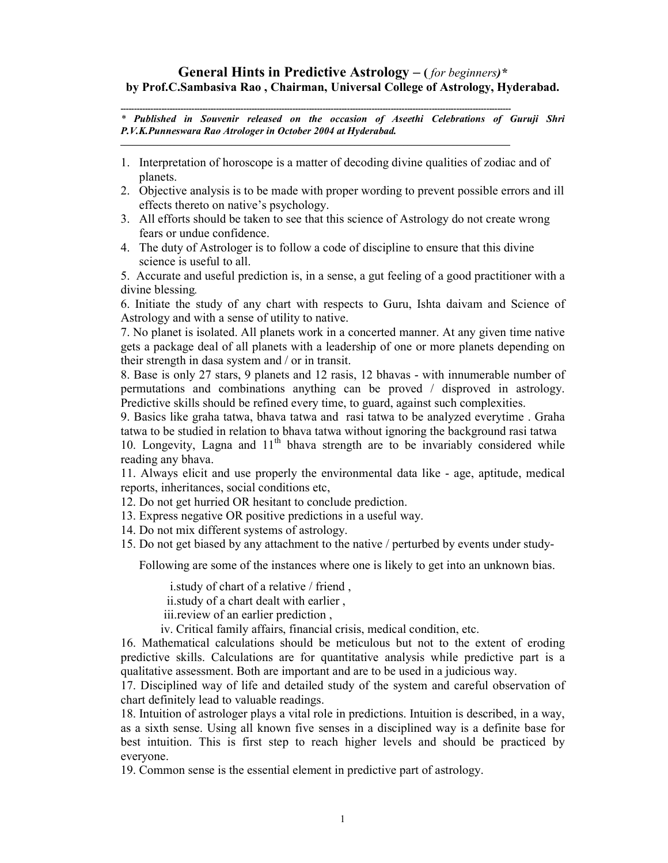## **General Hints in Predictive Astrology – (** *for beginners)\**  **by Prof.C.Sambasiva Rao , Chairman, Universal College of Astrology, Hyderabad.**

**-----------------------------------------------------------------------------------------------------------------------------------------------**  *\* Published in Souvenir released on the occasion of Aseethi Celebrations of Guruji Shri P.V.K.Punneswara Rao Atrologer in October 2004 at Hyderabad.* 

1. Interpretation of horoscope is a matter of decoding divine qualities of zodiac and of planets.

\_\_\_\_\_\_\_\_\_\_\_\_\_\_\_\_\_\_\_\_\_\_\_\_\_\_\_\_\_\_\_\_\_\_\_\_\_\_\_\_\_\_\_\_\_\_\_\_\_\_\_\_\_\_\_\_\_\_\_\_\_\_\_\_\_\_\_\_\_\_\_\_\_\_\_\_\_\_\_\_\_\_\_\_\_\_\_\_\_\_\_\_\_\_\_

- 2. Objective analysis is to be made with proper wording to prevent possible errors and ill effects thereto on native's psychology.
- 3. All efforts should be taken to see that this science of Astrology do not create wrong fears or undue confidence.
- 4. The duty of Astrologer is to follow a code of discipline to ensure that this divine science is useful to all.

5. Accurate and useful prediction is, in a sense, a gut feeling of a good practitioner with a divine blessing*.* 

6. Initiate the study of any chart with respects to Guru, Ishta daivam and Science of Astrology and with a sense of utility to native.

7. No planet is isolated. All planets work in a concerted manner. At any given time native gets a package deal of all planets with a leadership of one or more planets depending on their strength in dasa system and / or in transit.

8. Base is only 27 stars, 9 planets and 12 rasis, 12 bhavas - with innumerable number of permutations and combinations anything can be proved / disproved in astrology. Predictive skills should be refined every time, to guard, against such complexities.

9. Basics like graha tatwa, bhava tatwa and rasi tatwa to be analyzed everytime . Graha tatwa to be studied in relation to bhava tatwa without ignoring the background rasi tatwa 10. Longevity, Lagna and  $11<sup>th</sup>$  bhava strength are to be invariably considered while

reading any bhava.

11. Always elicit and use properly the environmental data like - age, aptitude, medical reports, inheritances, social conditions etc,

12. Do not get hurried OR hesitant to conclude prediction.

13. Express negative OR positive predictions in a useful way.

14. Do not mix different systems of astrology.

15. Do not get biased by any attachment to the native / perturbed by events under study-

Following are some of the instances where one is likely to get into an unknown bias.

i.study of chart of a relative / friend ,

ii.study of a chart dealt with earlier ,

iii.review of an earlier prediction ,

iv. Critical family affairs, financial crisis, medical condition, etc.

16. Mathematical calculations should be meticulous but not to the extent of eroding predictive skills. Calculations are for quantitative analysis while predictive part is a qualitative assessment. Both are important and are to be used in a judicious way.

17. Disciplined way of life and detailed study of the system and careful observation of chart definitely lead to valuable readings.

18. Intuition of astrologer plays a vital role in predictions. Intuition is described, in a way, as a sixth sense. Using all known five senses in a disciplined way is a definite base for best intuition. This is first step to reach higher levels and should be practiced by everyone.

19. Common sense is the essential element in predictive part of astrology.